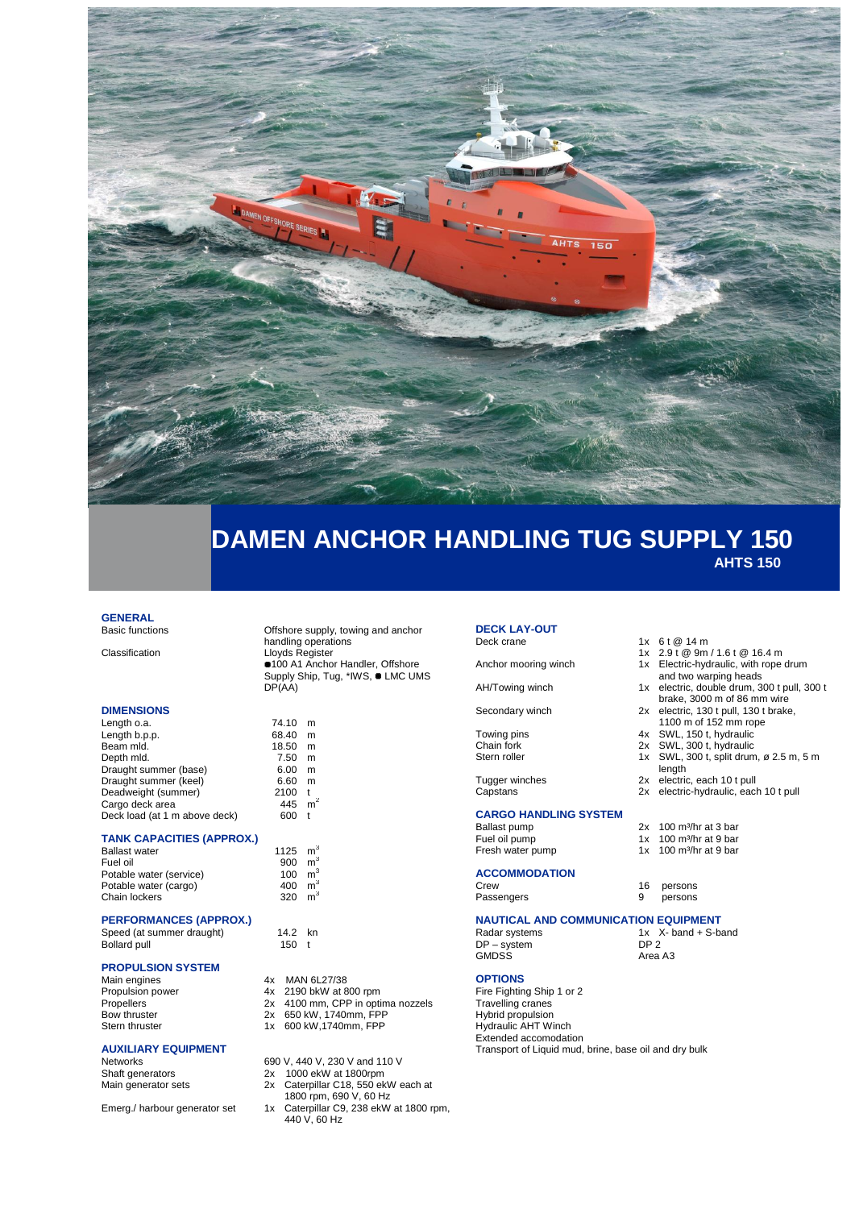

# **DAMEN ANCHOR HANDLING TUG SUPPLY 150 AHTS 150**

## **GENERAL**<br>Basic functions

#### **DIMENSIONS**

| Length o.a.                   | 74.10 | m |
|-------------------------------|-------|---|
| Length b.p.p.                 | 68.40 | m |
| Beam mld.                     | 18.50 | m |
| Depth mld.                    | 7.50  | m |
| Draught summer (base)         | 6.00  | m |
| Draught summer (keel)         | 6.60  | m |
| Deadweight (summer)           | 2100  | t |
| Cargo deck area               | 445   | m |
| Deck load (at 1 m above deck) | 600   |   |

#### **TANK CAPACITIES (APPROX.)**

| <b>Ballast water</b>    | 1125 m |   |
|-------------------------|--------|---|
| Fuel oil                | 900    | m |
| Potable water (service) | 100    | m |
| Potable water (cargo)   | 400    | m |
| Chain lockers           | 320    | m |
|                         |        |   |

#### **PERFORMANCES (APPROX.)**

| Speed (at summer draught) | 14.2 kn |  |
|---------------------------|---------|--|
| Bollard pull              | 150 $t$ |  |

# **PROPULSION SYSTEM**

Main engines 4x MAN 6L27/38<br>Propulsion power 4x 2190 bkW at 8 Propulsion power 4x 2190 bkW at 800 rpm<br>Propellers 2x 4100 mm, CPP in opti Propellers 2x 4100 mm, CPP in optima nozzels<br>Bow thruster 2x 650 kW, 1740mm, FPP Bow thruster 2x 650 kW, 1740mm, FPP<br>Stern thruster 1x 600 kW, 1740mm, FPP

#### **AUXILIARY EQUIPMENT**

Offshore supply, towing and anchor handling operations Classification Lloyds Register 100 A1 Anchor Handler, Offshore Supply Ship, Tug, \*IWS,  $\blacksquare$  LMC UMS DP(AA)

| 1125 | m <sup>3</sup> |
|------|----------------|
| 900  | m <sup>3</sup> |
| 100  | m <sup>3</sup> |
| 400  | m <sup>3</sup> |
| 320  | m <sup>3</sup> |

 $150$  t

- 
- 
- 
- 1x 600 kW,1740mm, FPP

Networks 690 V, 440 V, 230 V and 110 V

Shaft generators 2x 1000 ekW at 1800rpm

- Main generator sets 2x Caterpillar C18, 550 ekW each at
- 1800 rpm, 690 V, 60 Hz Emerg./ harbour generator set 1x Caterpillar C9, 238 ekW at 1800 rpm,
	- 440 V, 60 Hz

## **DECK LAY-OUT**<br>Deck crane

Anchor mooring winch 1x Electric-hydraulic, with rope drum

#### AH/Towing winch 1x electric, double drum, 300 t pull, 300 t

Secondary winch 2x electric, 130 t pull, 130 t brake,

Towing pins 4x SWL, 150 t, hydraulic<br>Chain fork 12x SWL, 300 t, hydraulic Chain fork 2x SWL, 300 t, hydraulic<br>Stern roller 1x SWL, 300 t, split drum

Tugger winches 2x electric, each 10 t pull Capstans 2x electric-hydraulic, each 10 t pull

# **CARGO HANDLING SYSTEM**

## Ballast pump 2x 100 m<sup>3</sup>/hr at 3 bar<br>Fuel oil pump 1x 100 m<sup>3</sup>/hr at 9 bar

**ACCOMMODATION**

### Fresh water pump

Function in the at 9 bar<br>1x 100 m<sup>3</sup>/hr at 9 bar<br>1x 100 m<sup>3</sup>/hr at 9 bar

length

 $1x$  6 t @ 14 m

1x 2.9 t @ 9m / 1.6 t @ 16.4 m

and two warping heads

1100 m of 152 mm rope

brake, 3000 m of 86 mm wire

1x SWL, 300 t, split drum, ø 2.5 m, 5 m

16 persons

Passengers 9 persons

### **NAUTICAL AND COMMUNICATION EQUIPMENT**

Radar systems 1x X- band + S-band<br>DP – system DP 2 DP – system DP 2 GMDSS Area A3

#### **OPTIONS**

Fire Fighting Ship 1 or 2 Travelling cranes Hybrid propulsion Hydraulic AHT Winch Extended accomodation Transport of Liquid mud, brine, base oil and dry bulk